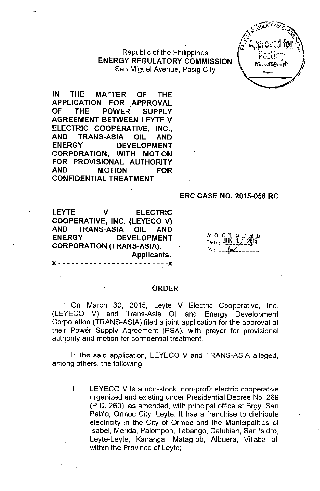Republic of the Philippines **ENERGY REGULATORY COMMISSION** San Miguel Avenue, Pasig City



**IN THE MATTER OF THE APPLICATION FOR APPROVAL OF THE POWER SUPPLY AGREEMENT BETWEEN LEYTE** *V* **ELECTRIC COOPERATIVE, INC., AND TRANS-ASIA OIL AND ENERGY DEVELOPMENT CORPORATION, WITH MOTION FOR** PROVISIONAL AUTHORITY **AND MOTION FOR CONFIDENTIAL TREATMENT**

#### **ERC CASE NO. 2015-058 RC**

**LEYTE** *V* **ELECTRIC COOPERATIVE, INC. (LEYECO** *V)* **AND TRANS-ASIA OIL AND ENERGY DEVELOPMENT CORPORATION (TRANS-ASIA), Applicants.**

x - - - - - - - - - - - - - - - - - - - - - - - - **-x**

YOCrrl<xloiil  $_{\text{Date:}}$   $\underline{\text{JUN}}$   $\overline{\text{1}}$   $\overline{\text{1}}$   $\overline{\text{20}}$ 15 4'**. ...\_-. ----.\_--\_.\_-.\_-**

#### **ORDER**

On March 30, 2015, Leyte *V* Electric Cooperative, Inc. (LEYECO V) and Trans-Asia Oil and Energy Development Corporation (TRANS-ASIA) filed a joint application for the approval of their Power Supply Agreement (PSA), with prayer for provisional authority and motion for confidential treatment.

In the said application, LEYECO *V* and TRANS-ASIA alleged, among others, the following:

. 1. LEYECO V is a non-stock, non-profit electric cooperative organized and existing under Presidential Decree No. 269 (P.D. 269), as amended, with principal office at Brgy. San Pablo, Ormoc City, Leyte. It has a franchise to distribute electricity in the City of Ormoc and the Municipalities of Isabel, Merida, Palompon, Tabango, Calubian, San Isidro, Leyte-Leyte, Kananga, Matag-ob, Albuera, Villaba all within the Province of Leyte;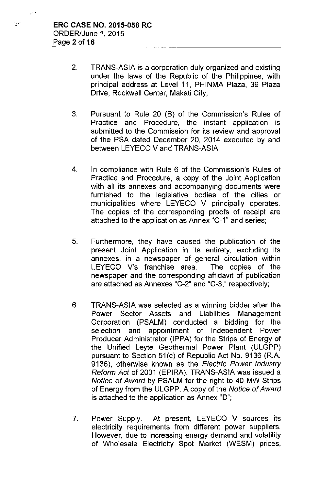$\hat{\mathbf{v}}^{\left( \mathbf{v} \right)}$ 

i<sub>n</sub>es.

- 2. TRANS-ASIA is a corporation duly organized and existing under the laws of the Republic of the Philippines, with principal address at Level 11, PHINMA Plaza, 39 Plaza Drive, Rockwell Center, Makati City;
- 3. Pursuant to Rule 20 (B) of the Commission's Rules of Practice and Procedure, the instant application is submitted to the Commission for its review and approval of the PSA dated December 20, 2014 executed by and between LEYECO V and TRANS-ASIA;
- 4. In compliance with Rule 6 of the Commission's Rules of Practice and Procedure, a copy of the Joint Application with all its annexes and accompanying documents were furnished to the legislative bodies of the cities or municipalities where LEYECO V principally operates. The copies of the corresponding proofs of receipt are attached to the application as Annex "C-1" and series;
- 5. Furthermore, they have caused the publication of the present Joint Application in its entirety, excluding its annexes, in a newspaper of general circulation within LEYECO V's franchise area. The copies of the newspaper and the corresponding affidavit of publication are attached as Annexes "C-2" and "C-3," respectively;
- 6. TRANS-ASIA was selected as a winning bidder after the Power Sector Assets and Liabilities Management Corporation (PSALM) conducted a bidding for the selection and appointment of Independent Power Producer Administrator (IPPA) for the Strips of Energy of the Unified Leyte Geothermal Power Plant (ULGPP) pursuant to Section 51(c) of Republic Act No. 9136 (R.A. 9136), otherwise known as the *Electric Power Industry Reform Act* of 2001 (EPIRA). TRANS-ASIA was issued a *Notice of Award* by PSALM for the right to 40 MW Strips of Energy from the ULGPP. A copy of the *Notice of Award* is attached to the application as Annex "D";
- 7. Power Supply. At present, LEYECO V sources its electricity requirements from different power suppliers. However, due to increasing energy demand and volatility of Wholesale Electricity Spot Market (WESM) prices,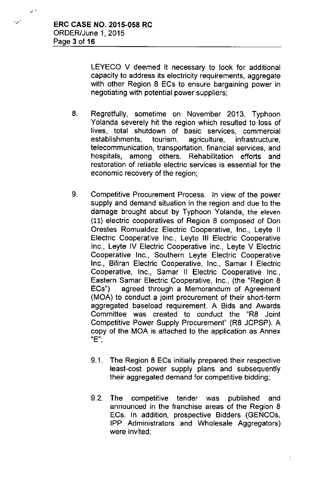...,'

 $e^{i \lambda}$ 

LEYECO V deemed it necessary to look for additional capacity to address its electricity requirements, aggregate with other Region 8 ECs to ensure bargaining power in negotiating with potential power suppliers;

- 8. Regretfully, sometime on November 2013, Typhoon Yolanda severely hit the region which resulted to loss of lives, total shutdown of basic services, commercial establishments, tourism, agriculture, infrastructure, telecommunication, transportation, financial services, and hospitals, among others. Rehabilitation efforts and restoration of reliable electric services is essential for the economic recovery of the region;
- 9. Competitive Procurement Process. In view of the power supply and demand situation in the region and due to the damage brought about by Typhoon Yolanda, the eleven (11) electric cooperatives of Region 8 composed of Don Orestes Romualdez Electric Cooperative, Inc., Leyte II Electric Cooperative Inc., Leyte **III** Electric Cooperative Inc., Leyte IV Electric Cooperative Inc., Leyte V Electric Cooperative Inc., Southern Leyte Electric Cooperative Inc., Biliran Electric Cooperative, Inc., Samar I Electric Cooperative, Inc., Samar II Electric Cooperative Inc., Eastern Samar Electric Cooperative, Inc., (the "Region 8 ECs") agreed through a Memorandum of Agreement (MOA) to conduct a joint procurement of their short-term aggregated baseload requirement. A Bids and Awards Committee was created to conduct the "R8 Joint Competitive Power Supply Procurement" (R8 JCPSP). A copy of the MOA is attached to the application as Annex **"E"-**,
	- 9.1. The Region 8 ECs initially prepared their respective least-cost power supply plans and subsequently their aggregated demand for competitive bidding;
	- 9.2. The competitive tender was published and announced in the franchise areas of the Region 8 ECs. In addition, prospective Bidders (GENCOs, IPP Administrators and Wholesale Aggregators) were invited;

 $\frac{1}{\epsilon}$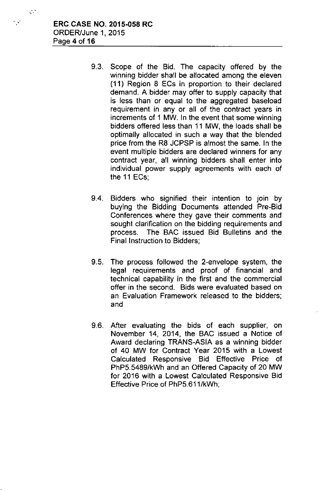.. '..

 $\mathcal{S}$ 

- 9.3. Scope of the Bid. The capacity offered by the winning bidder shall be allocated among the eleven (11) Region 8 ECs in proportion to their declared demand. A bidder may offer to supply capacity that is less than or equal to the aggregated baseload requirement in any or all of the contract years in increments of 1 MW. In the event that some winning bidders offered less than 11 MW, the loads shall be optimally allocated in such a way that the blended price from the R8 JCPSP is almost the same. In the event multiple bidders are declared winners for any contract year, all winning bidders shall enter into individual power supply agreements with each of the 11 ECs;
- 9.4. Bidders who signified their intention to join by buying the Bidding Documents attended Pre-Bid Conferences where they gave their comments and sought clarification on the bidding requirements and process. The BAC issued Bid Bulletins and the Final Instruction to Bidders;
- 9.5. The process followed the 2-envelope system, the legal requirements and proof of financial and technical capability in the first and the commercial offer in the second. Bids were evaluated based on an Evaluation Framework released to the bidders; and
- 9.6. After evaluating the bids of each supplier, on November 14, 2014, the BAC issued a Notice of Award declaring TRANS-ASIA as a winning bidder of 40 MW for Contract Year 2015 with a Lowest Calculated Responsive Bid Effective Price of PhP5.5489/kWh and an Offered Capacity of 20 MW for 2016 with a Lowest Calculated Responsive Bid Effective Price of PhP5.611/kWh;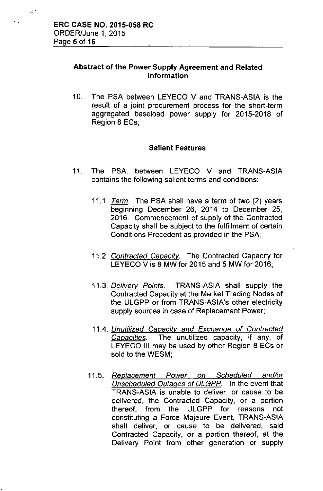$\mathbb{R}^n$ 

## Abstract of the Power Supply Agreement and Related Information

10. The PSA between LEYECO V and TRANS-ASIA is the result of a joint procurement process for the short-term aggregated baseload power supply for 2015-2018 of Region 8 ECs;

## Salient Features

- 11. The PSA, between LEYECO V and TRANS-ASIA contains the following salient terms and conditions:
	- *11.1. Term.* The PSA shall have a term of two (2) years beginning December 26, 2014 to December 25, 2016. Commencement of supply of the Contracted Capacity shall be subject to the fulfillment of certain Conditions Precedent as provided in the PSA;
	- *11.2. Contracted Capacity.* The Contracted Capacity for LEYECO V is 8 MW for 2015 and 5 MW for 2016;
	- *11.3. Delivery Points.* TRANS-ASIA shall supply the Contracted Capacity at the Market Trading Nodes of the ULGPP or from TRANS-ASIA's other electricity supply sources in case of Replacement Power;
	- *11.4. Unutilized Capacity and Exchange* of *Contracted Capacities.* The unutilized capacity, if any, of LEYECO III may be used by other Region 8 ECs or sold to the WESM;
	- *11.5. Replacement Power on Scheduled and/or Unscheduled Outages* of *ULGPP.* In the event that TRANS-ASIA is unable to deliver, or cause to be delivered, the Contracted Capacity, or a portion thereof, from the ULGPP for reasons not constituting a Force Majeure Event, TRANS-ASIA shall deliver, or cause to be delivered, said Contracted Capacity, or a portion thereof, at the Delivery Point from other generation or supply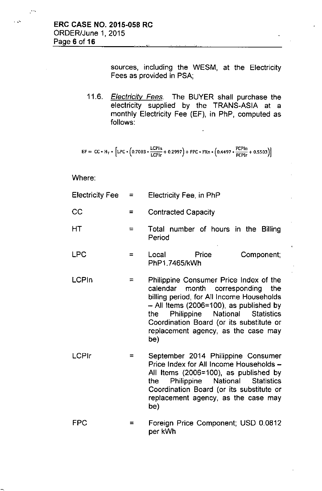".

sources, including the WESM, at the Electricity Fees as provided in PSA;

*11.6. Electricity Fees.* The BUYER shall purchase the electricity supplied by the TRANS-ASIA at a monthly Electricity Fee (EF), in PhP, computed as follows:

$$
EF = CC * H_T * [LPC * (0.7003 * \frac{LCPIn}{LCPIr} + 0.2997) + FPC * FXn * (0.4497 * \frac{FCPIn}{FCPIr} + 0.5503)]
$$

#### Where:

| Electricity Fee $=$ |     | Electricity Fee, in PhP                                                       |  |  |
|---------------------|-----|-------------------------------------------------------------------------------|--|--|
| <b>CC</b>           |     | <b>Contracted Capacity</b>                                                    |  |  |
| <b>HT</b>           |     | Total number of hours in the Billing<br>Period                                |  |  |
| <b>LPC</b>          | $=$ | Component;<br>Local<br>Price<br>PhP1.7465/kWh                                 |  |  |
| <b>LCPIn</b>        | $=$ | Philippine Consumer Price Index of the<br>calendar month corresponding<br>the |  |  |

- calendar month corresponding the billing period, for All Income Households  $-$  All Items (2006=100), as published by the Philippine National Statistics Coordination Board (or its substitute or replacement agency, as the case may be)
- LCPlr = September 2014 Philippine Consumer Price Index for All Income Households -All Items (2006=100), as published by the Philippine National Statistics Coordination Board (or its substitute or replacement agency, as the case may be)
- FPC = Foreign Price Component; USD 0.0812 per kWh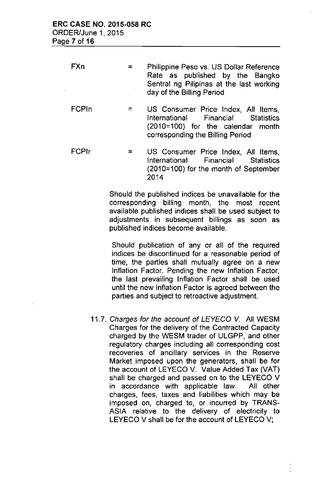| FXn | $=$ $\sim$ | Philippine Peso vs. US Dollar Reference                               |  |  |
|-----|------------|-----------------------------------------------------------------------|--|--|
|     |            | Rate as published by the Bangko                                       |  |  |
|     |            | Sentral ng Pilipinas at the last working<br>day of the Billing Period |  |  |

- FCPln  $=$ US Consumer Price Index, All Items, International Financial Statistics (2010=100) for the calendar month corresponding the Billing Period
- FCPlr = US Consumer Price Index, All Items, International Financial Statistics (2010=100) for the month of September 2014

Should the published indices be unavailable for the corresponding billing month, the most recent available published indices shall be used subject to adjustments in subsequent billings as soon as published indices become available.

Should publication of any or all of the required indices be discontinued for a reasonable period of time, the parties shall mutually agree on a new Inflation Factor. Pending the new Inflation Factor, the last prevailing Inflation Factor shall be used until the new Inflation Factor is agreed between the parties and subject to retroactive adjustment.

*11.7. Charges for the account* of *LEYECO* V. All WESM Charges for the delivery of the Contracted Capacity charged by the WESM trader of ULGPP, and other regulatory charges including all corresponding cost recoveries of ancillary services in the Reserve Market imposed upon the generators, shall be for the account of LEYECO V. Value Added Tax (VAT) shall be charged and passed on to the LEYECO V in accordance with applicable law. All other charges, fees, taxes and liabilities which may be imposed on, charged to, or incurred by TRANS-ASIA relative to the delivery of electricity to LEYECO V shall be for the account of LEYECO V;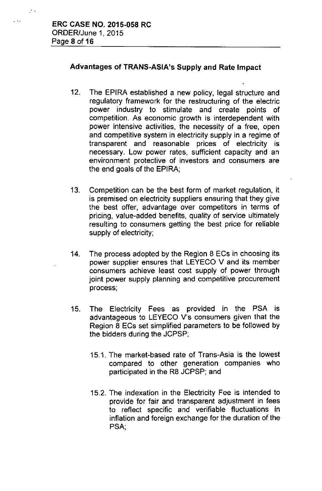. :.

 $\mathbb{R}^{n}$  .

## Advantages of TRANS-ASIA's Supply and Rate Impact

- 12. The EPIRA established a new policy, legal structure and regulatory framework for the restructuring of the electric power industry to stimulate and create points of competition. As economic growth is interdependent with power intensive activities, the necessity of a free, open and competitive system in electricity supply in a regime of transparent and reasonable prices of electricity is necessary. Low power rates, sufficient capacity and an environment protective of investors and consumers are the end goals of the EPIRA;
- 13. Competition can be the best form of market regulation, it is premised on electricity suppliers ensuring that they give the best offer, advantage over competitors in terms of pricing, value-added benefits, quality of service ultimately resulting to consumers getting the best price for reliable supply of electricity;
- 14. The process adopted by the Region 8 ECs in choosing its power supplier ensures that LEYECO V and its member consumers achieve least cost supply of power through joint power supply planning and competitive procurement process;
- 15. The Electricity Fees as provided in the PSA is advantageous to LEYECO V's consumers given that the Region 8 ECs set simplified parameters to be followed by the bidders during the JCPSP;
	- 15.1. The market-based rate of Trans-Asia is the lowest compared to other generation companies who participated in the R8 JCPSP; and
	- 15.2. The indexation in the Electricity Fee is intended to provide for fair and transparent adjustment in fees to reflect specific and verifiable fluctuations in inflation and foreign exchange for the duration of the PSA;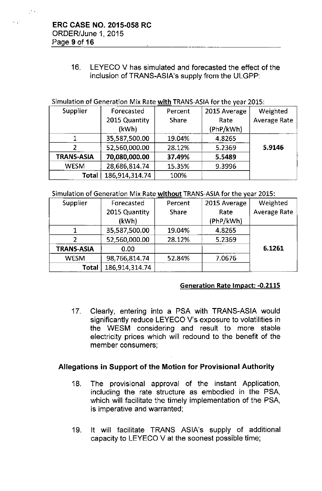$\mathbb{C}^{\mathbb{C}}$  :

16. LEYECD V has simulated and forecasted the effect of the inclusion of TRANS-ASIA's supply from the ULGPP:

# Simulation of Generation Mix Rate with TRANS-ASIAfor the year 201S: --

| Supplier          | Forecasted     | Percent      | 2015 Average | Weighted            |
|-------------------|----------------|--------------|--------------|---------------------|
|                   | 2015 Quantity  | <b>Share</b> | Rate         | <b>Average Rate</b> |
|                   | (kWh)          |              | (PhP/kWh)    |                     |
|                   | 35,587,500.00  | 19.04%       | 4.8265       |                     |
|                   | 52,560,000.00  | 28.12%       | 5.2369       | 5.9146              |
| <b>TRANS-ASIA</b> | 70,080,000.00  | 37.49%       | 5.5489       |                     |
| <b>WESM</b>       | 28,686,814.74  | 15.35%       | 9.3996       |                     |
| Total             | 186,914,314.74 | 100%         |              |                     |

#### Simulation of Generation Mix Rate without TRANS-ASIA for the year 2015:

| Supplier          | Forecasted     | Percent | 2015 Average | Weighted            |
|-------------------|----------------|---------|--------------|---------------------|
|                   | 2015 Quantity  | Share   | Rate         | <b>Average Rate</b> |
|                   | (kWh)          |         | (PhP/kWh)    |                     |
|                   | 35,587,500.00  | 19.04%  | 4.8265       |                     |
|                   | 52,560,000.00  | 28.12%  | 5.2369       |                     |
| <b>TRANS-ASIA</b> | 0.00           |         |              | 6.1261              |
| <b>WESM</b>       | 98,766,814.74  | 52.84%  | 7.0676       |                     |
| <b>Total</b>      | 186,914,314.74 |         |              |                     |

#### Generation Rate Impact: -0.2115

17. Clearly, entering into a PSA with TRANS-ASIA would significantly reduce LEYECO V's exposure to volatilities in the WESM considering and result to more stable electricity prices which will redound to the benefit of the member consumers;

#### Allegations in Support of the Motion for Provisional Authority

- 18. The provisional approval of the instant Application, including the rate structure as embodied in the PSA, which will facilitate the timely implementation of the PSA, is imperative and warranted;
- 19. It will facilitate TRANS ASIA's supply of additional capacity to LEYECO V at the soonest possible time;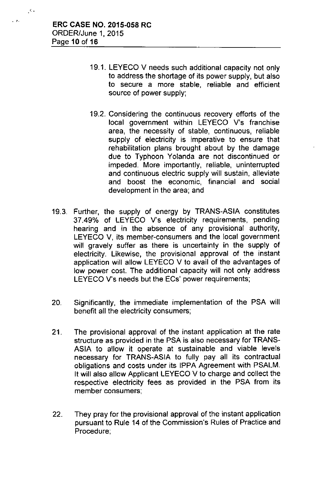$\mathcal{L}(\mathcal{E})$ 

.: .

- 19.1. LEYECO V needs such additional capacity not only to address the shortage of its power supply, but also to secure a more stable, reliable and efficient source of power supply;
- 19.2. Considering the continuous recovery efforts of the local government within LEYECO V's franchise area, the necessity of stable, continuous, reliable supply of electricity is imperative to ensure that rehabilitation plans brought about by the damage due to Typhoon Yolanda are not discontinued or impeded. More importantly, reliable, uninterrupted and continuous electric supply will sustain, alleviate and boost the economic, financial and social development in the area; and
- 19.3. Further, the supply of energy by TRANS-ASIA constitutes 37.49% of LEYECO V's electricity requirements, pending hearing and in the absence of any provisional authority, LEYECO V, its member-consumers and the local government will gravely suffer as there is uncertainty in the supply of electricity. Likewise, the provisional approval of the instant application will allow LEYECO V to avail of the advantages of low power cost. The additional capacity will not only address LEYECO V's needs but the ECs' power requirements;
- 20. Significantly, the immediate implementation of the PSA will benefit all the electricity consumers;
- 21. The provisional approval of the instant application at the rate structure as provided in the PSA is also necessary for TRANS-ASIA to allow it operate at sustainable and viable levels necessary for TRANS-ASIA to fully pay all its contractual obligations and costs under its IPPA Agreement with PSALM. It will also allow Applicant LEYECO V to charge and collect the respective electricity fees as provided in the PSA from its member consumers;
- 22. They pray for the provisional approval of the instant application pursuant to Rule 14 of the Commission's Rules of Practice and Procedure;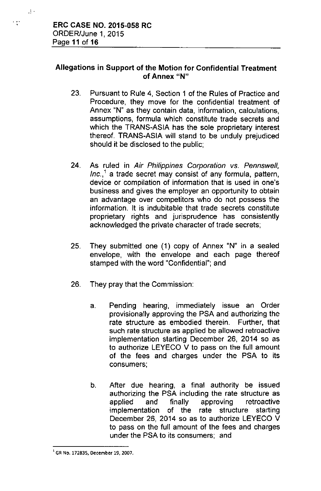$\mathbf{r}$ .

 $\cdot$  :

## Allegations in Support of the Motion for Confidential Treatment of Annex "N"

- 23. Pursuant to Rule 4, Section 1 of the Rules of Practice and Procedure, they move for the confidential treatment of Annex "N" as they contain data, information, calculations, assumptions, formula which constitute trade secrets and which the TRANS-ASIA has the sole proprietary interest thereof. TRANS-ASIA will stand to be unduly prejudiced should it be disclosed to the public;
- 24. As ruled in *Air Philippines Corporation* vs. *Pennswefl, Inc.,1* a trade secret may consist of any formula, pattern, device or compilation of information that is used in one's business and gives the employer an opportunity to obtain an advantage over competitors who do not possess the information. It is indubitable that trade secrets constitute proprietary rights and jurisprudence has consistently acknowledged the private character of trade secrets;
- 25. They submitted one (1) copy of Annex "N" in a sealed envelope, with the envelope and each page thereof stamped with the word "Confidential"; and
- 26. They pray that the Commission:
	- a. Pending hearing, immediately issue an Order provisionally approving the PSA and authorizing the rate structure as embodied therein. Further, that such rate structure as applied be allowed retroactive implementation starting December 26, 2014 so as to authorize LEYECO V to pass on the full amount of the fees and charges under the PSA to its consumers;
	- b. After due hearing, a final authority be issued authorizing the PSA including the rate structure as applied and finally approving retroactive implementation of the rate structure starting December 26, 2014 so as to authorize LEYECO V to pass on the full amount of the fees and charges under the PSA to its consumers; and

<sup>1</sup>GR No. 172835, December 19, 2007.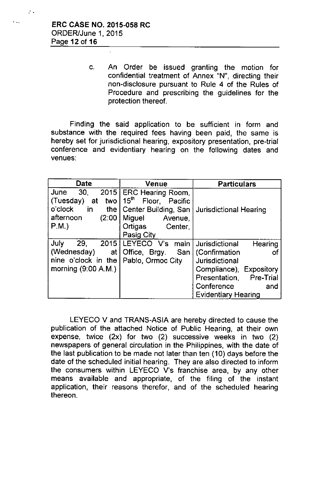$\mathcal{L}$  .

c. An Order be issued granting the motion for confidential treatment of Annex "N", directing their non-disclosure pursuant to Rule 4 of the Rules of Procedure and prescribing the guidelines for the protection thereof.

Finding the said application to be sufficient in form and substance with the required fees having been paid, the same is hereby set for jurisdictional hearing, expository presentation, pre-trial conference and evidentiary hearing on the following dates and venues:

| Date                   | Venue                                 | <b>Particulars</b>            |
|------------------------|---------------------------------------|-------------------------------|
| 30.<br>2015<br>June    | ERC Hearing Room.                     |                               |
| (Tuesday)<br>at<br>two | 15 <sup>th</sup><br>Floor,<br>Pacific |                               |
| o'clock<br>in<br>the I | Center Building, San                  | <b>Jurisdictional Hearing</b> |
| afternoon<br>(2:00     | Miguel<br>Avenue,                     |                               |
| $P.M.$ )               | Ortigas<br>Center,                    |                               |
|                        | Pasig City                            |                               |
| 29,<br>July<br>2015    | LEYECO V's main                       | Jurisdictional<br>Hearing     |
| (Wednesday)<br>at I    | Office, Brgy.<br>San                  | (Confirmation<br>Οt           |
| nine o'clock in the    | Pablo, Ormoc City                     | Jurisdictional                |
| morning (9:00 A.M.)    |                                       | Compliance), Expository       |
|                        |                                       | Presentation, Pre-Trial       |
|                        |                                       | Conference<br>and             |
|                        |                                       | <b>Evidentiary Hearing</b>    |

LEYECO V and TRANS-ASIA are hereby directed to cause the publication of the attached Notice of Public Hearing, at their own expense, twice (2x) for two (2) successive weeks in two (2) newspapers of general circulation in the Philippines, with the date of the last publication to be made not later than ten (10) days before the date of the scheduled initial hearing. They are also directed to inform the consumers within LEYECO V's franchise area, by any other means available and appropriate, of the filing of the instant application, their reasons therefor, and of the scheduled hearing thereon.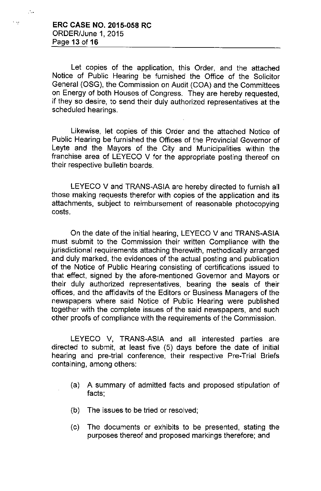, >!

..'

Let copies of the application, this Order, and the attached Notice of Public Hearing be furnished the Office of the Solicitor General (OSG), the Commission on Audit (COA) and the Committees on Energy of both Houses of Congress. They are hereby requested, if they so desire, to send their duly authorized representatives at the scheduled hearings.

Likewise, let copies of this Order and the attached Notice of Public Hearing be furnished the Offices of the Provincial Governor of Leyte and the Mayors of the City and Municipalities within the franchise area of LEYECO V for the appropriate posting thereof on their respective bulletin boards.

LEYECO V and TRANS-ASIA are hereby directed to furnish all those making requests therefor with copies of the application and its attachments, subject to reimbursement of reasonable photocopying costs.

On the date of the initial hearing, LEYECO V and TRANS-ASIA must submit to the Commission their written Compliance with the jurisdictional requirements attaching therewith, methodically arranged and duly marked, the evidences of the actual posting and publication of the Notice of Public Hearing consisting of certifications issued to that effect, signed by the afore-mentioned Governor and Mayors or their duly authorized representatives, bearing the seals of their offices, and the affidavits of the Editors or Business Managers of the newspapers where said Notice of Public Hearing were published together with the complete issues of the said newspapers, and such other proofs of compliance with the requirements of the Commission.

LEYECO V, TRANS-ASIA and all interested parties are directed to submit, at least five (5) days before the date of initial hearing and pre-trial conference, their respective Pre-Trial Briefs containing, among others:

- (a) A summary of admitted facts and proposed stipulation of facts;
- (b) The issues to be tried or resolved;
- (c) The documents or exhibits to be presented, stating the purposes thereof and proposed markings therefore; and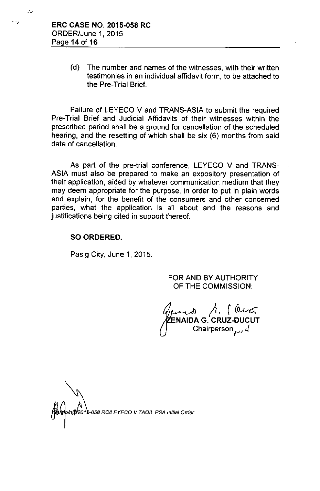$\ddot{\phantom{a}}$ 

 $\mathcal{L}_{\text{max}}$ 

(d) The number and names of the witnesses, with their written testimonies in an individual affidavit form, to be attached to the Pre-Trial Brief.

Failure of LEYECO V and TRANS-ASIA to submit the required Pre-Trial Brief and Judicial Affidavits of their witnesses within the prescribed period shall be a ground for cancellation of the scheduled hearing, and the resetting of which shall be six (6) months from said date of cancellation.

As part of the pre-trial conference, LEYECO V and TRANS-ASIA must also be prepared to make an expository presentation of their application, aided by whatever communication medium that they may deem appropriate for the purpose, in order to put in plain words and explain, for the benefit of the consumers and other concerned parties, what the application is all about and the reasons and justifications being cited in support thereof.

#### SO ORDERED.

Pasig City, June 1, 2015.

FOR AND BY AUTHORITY OF THE COMMISSION:

 $\lambda$ . (Ce **ENAIDA G. CRUZ-DUCUT** Chairperson *ru ~*

*~TjtOl<sup>058</sup> RCILEYECO <sup>V</sup> TAOIL PSA Initial Orda'*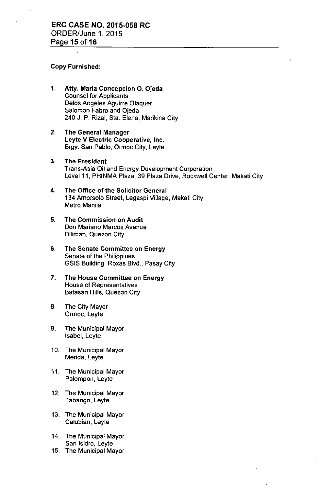#### Copy Furnished:

- 1. Atty. Maria Concepcion O. Ojeda Counsel for Applicants Delos Angeles Aguirre Olaquer Salomon Fabre and Ojeda 240 J. P. Rizal, Sta. Elena, Marikina City
- 2. The General Manager Leyte V Electric Cooperative, Inc. Brgy. San Pablo, Ormoc City, Leyte
- 3. The President Trans-Asia Oil and Energy Development Corporation Level 11, PHINMA Plaza, 39 Plaza Drive, Rockwell Center, Makati City
- 4. The Office of the Solicitor General 134 Amorsolo Street, Legaspi Village, Makati City Metro Manila
- 5. The Commission on **Audit Don Mariano Marcos Avenue** Diliman, Quezon City
- 6. The Senate Committee on Energy Senate of the Philippines GSIS Building, Roxas Blvd., Pasay City
- 7. The House Committee on Energy **House of Representatives** Batasan Hills, Quezon City
- 8. The City Mayor Ormoc, Leyte
- 9. The Municipal Mayor Isabel, Leyte
- 10. The Municipal Mayor Merida, Leyte
- 11. The Municipal Mayor Palompon, Leyte
- 12. The Municipal Mayor Tabango, Leyte
- 13. The Municipal Mayor Calubian, Leyte
- 14. The Municipal Mayor San Isidro, Leyte
- 15. The Municipal Mayor